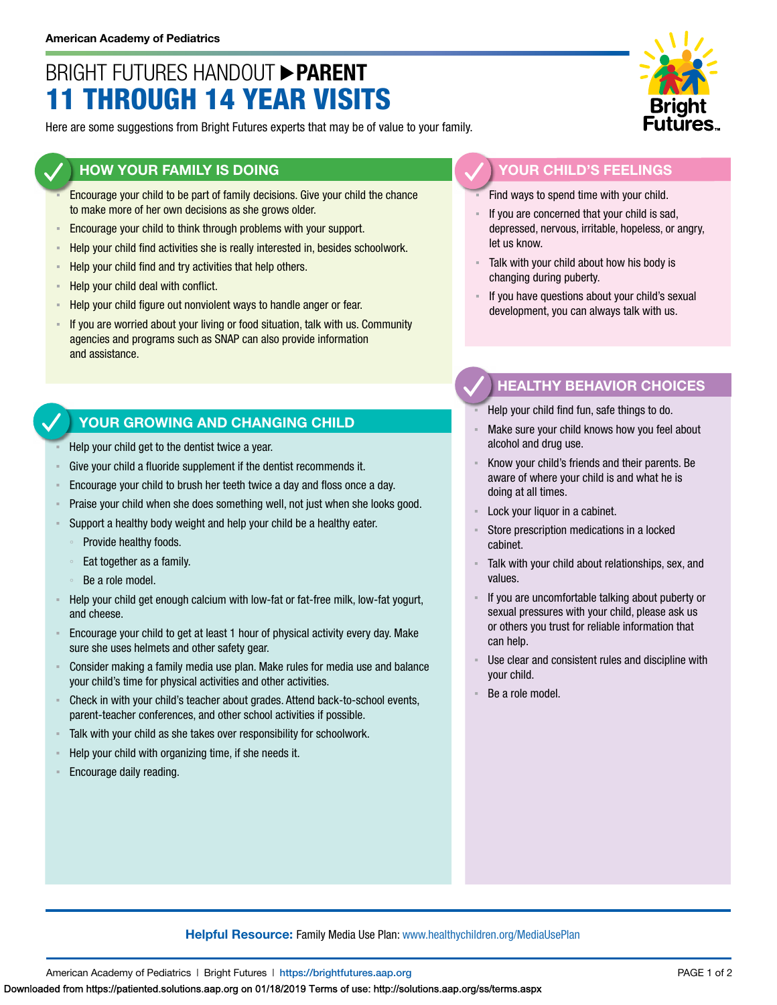## BRIGHT FUTURES HANDOUT **PARENT** 11 THROUGH 14 YEAR VISITS

Here are some suggestions from Bright Futures experts that may be of value to your family.

#### **HOW YOUR FAMILY IS DOING**

- Encourage your child to be part of family decisions. Give your child the chance to make more of her own decisions as she grows older.
- **Encourage your child to think through problems with your support.**
- Help your child find activities she is really interested in, besides schoolwork.
- Help your child find and try activities that help others.
- Help your child deal with conflict.
- Help your child figure out nonviolent ways to handle anger or fear.
- **EXT** If you are worried about your living or food situation, talk with us. Community agencies and programs such as SNAP can also provide information and assistance.

### **YOUR GROWING AND CHANGING CHILD**

- Help your child get to the dentist twice a year.
- Give your child a fluoride supplement if the dentist recommends it.
- Encourage your child to brush her teeth twice a day and floss once a day.
- Praise your child when she does something well, not just when she looks good.
- Support a healthy body weight and help your child be a healthy eater.
	- Provide healthy foods.
	- Eat together as a family.
	- Be a role model.
- Help your child get enough calcium with low-fat or fat-free milk, low-fat yogurt, and cheese.
- Encourage your child to get at least 1 hour of physical activity every day. Make sure she uses helmets and other safety gear.
- Consider making a family media use plan. Make rules for media use and balance your child's time for physical activities and other activities.
- Check in with your child's teacher about grades. Attend back-to-school events, parent-teacher conferences, and other school activities if possible.
- Talk with your child as she takes over responsibility for schoolwork.
- Help your child with organizing time, if she needs it.
- Encourage daily reading.



#### **YOUR CHILD'S FEELINGS**

Find ways to spend time with your child.

- If you are concerned that your child is sad, depressed, nervous, irritable, hopeless, or angry, let us know.
- Talk with your child about how his body is changing during puberty.
- If you have questions about your child's sexual development, you can always talk with us.

### **HEALTHY BEHAVIOR CHOICES**

- Help your child find fun, safe things to do.
- Make sure your child knows how you feel about alcohol and drug use.
- Know your child's friends and their parents. Be aware of where your child is and what he is doing at all times.
- Lock your liquor in a cabinet.
- Store prescription medications in a locked cabinet.
- Talk with your child about relationships, sex, and values.
- If you are uncomfortable talking about puberty or sexual pressures with your child, please ask us or others you trust for reliable information that can help.
- Use clear and consistent rules and discipline with your child.
- Be a role model.

#### **Helpful Resource:** Family Media Use Plan: [www.healthychildren.org/MediaUsePlan](https://www.healthychildren.org/English/media/Pages/default.aspx)

American Academy of Pediatrics | Bright Futures | https://[brightfutures.aap.org](https://brightfutures.aap.org/Pages/default.aspx) PAGE 1 of 2